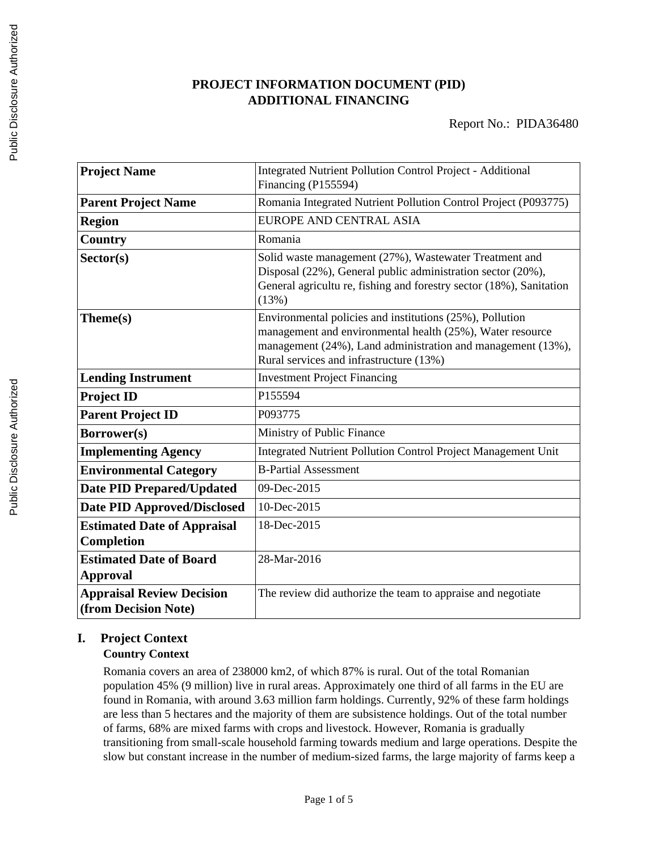# **PROJECT INFORMATION DOCUMENT (PID) ADDITIONAL FINANCING**

| <b>Project Name</b>                                      | <b>Integrated Nutrient Pollution Control Project - Additional</b><br>Financing (P155594)                                                                                                                                        |
|----------------------------------------------------------|---------------------------------------------------------------------------------------------------------------------------------------------------------------------------------------------------------------------------------|
| <b>Parent Project Name</b>                               | Romania Integrated Nutrient Pollution Control Project (P093775)                                                                                                                                                                 |
| <b>Region</b>                                            | EUROPE AND CENTRAL ASIA                                                                                                                                                                                                         |
| Country                                                  | Romania                                                                                                                                                                                                                         |
| Sector(s)                                                | Solid waste management (27%), Wastewater Treatment and<br>Disposal (22%), General public administration sector (20%),<br>General agricultu re, fishing and forestry sector (18%), Sanitation<br>(13%)                           |
| Theme(s)                                                 | Environmental policies and institutions (25%), Pollution<br>management and environmental health (25%), Water resource<br>management (24%), Land administration and management (13%),<br>Rural services and infrastructure (13%) |
| <b>Lending Instrument</b>                                | <b>Investment Project Financing</b>                                                                                                                                                                                             |
| <b>Project ID</b>                                        | P155594                                                                                                                                                                                                                         |
| <b>Parent Project ID</b>                                 | P093775                                                                                                                                                                                                                         |
| Borrower(s)                                              | Ministry of Public Finance                                                                                                                                                                                                      |
| <b>Implementing Agency</b>                               | <b>Integrated Nutrient Pollution Control Project Management Unit</b>                                                                                                                                                            |
| <b>Environmental Category</b>                            | <b>B-Partial Assessment</b>                                                                                                                                                                                                     |
| <b>Date PID Prepared/Updated</b>                         | 09-Dec-2015                                                                                                                                                                                                                     |
| <b>Date PID Approved/Disclosed</b>                       | 10-Dec-2015                                                                                                                                                                                                                     |
| <b>Estimated Date of Appraisal</b><br>Completion         | 18-Dec-2015                                                                                                                                                                                                                     |
| <b>Estimated Date of Board</b><br><b>Approval</b>        | 28-Mar-2016                                                                                                                                                                                                                     |
| <b>Appraisal Review Decision</b><br>(from Decision Note) | The review did authorize the team to appraise and negotiate                                                                                                                                                                     |

# **I. Project Context**

# **Country Context**

Romania covers an area of 238000 km2, of which 87% is rural. Out of the total Romanian population 45% (9 million) live in rural areas. Approximately one third of all farms in the EU are found in Romania, with around 3.63 million farm holdings. Currently, 92% of these farm holdings are less than 5 hectares and the majority of them are subsistence holdings. Out of the total number of farms, 68% are mixed farms with crops and livestock. However, Romania is gradually transitioning from small-scale household farming towards medium and large operations. Despite the slow but constant increase in the number of medium-sized farms, the large majority of farms keep a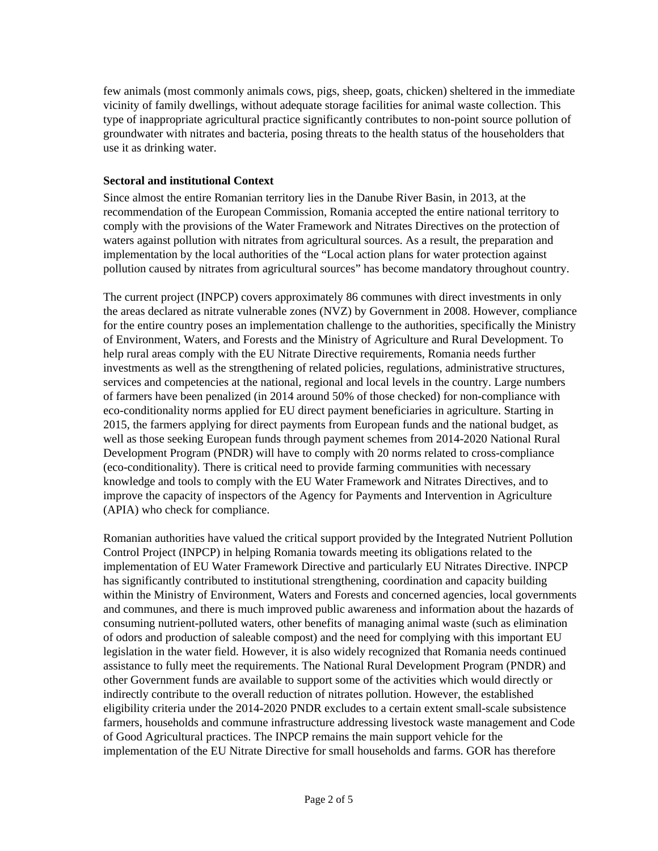few animals (most commonly animals cows, pigs, sheep, goats, chicken) sheltered in the immediate vicinity of family dwellings, without adequate storage facilities for animal waste collection. This type of inappropriate agricultural practice significantly contributes to non-point source pollution of groundwater with nitrates and bacteria, posing threats to the health status of the householders that use it as drinking water.

## **Sectoral and institutional Context**

Since almost the entire Romanian territory lies in the Danube River Basin, in 2013, at the recommendation of the European Commission, Romania accepted the entire national territory to comply with the provisions of the Water Framework and Nitrates Directives on the protection of waters against pollution with nitrates from agricultural sources. As a result, the preparation and implementation by the local authorities of the "Local action plans for water protection against pollution caused by nitrates from agricultural sources" has become mandatory throughout country.

The current project (INPCP) covers approximately 86 communes with direct investments in only the areas declared as nitrate vulnerable zones (NVZ) by Government in 2008. However, compliance for the entire country poses an implementation challenge to the authorities, specifically the Ministry of Environment, Waters, and Forests and the Ministry of Agriculture and Rural Development. To help rural areas comply with the EU Nitrate Directive requirements, Romania needs further investments as well as the strengthening of related policies, regulations, administrative structures, services and competencies at the national, regional and local levels in the country. Large numbers of farmers have been penalized (in 2014 around 50% of those checked) for non-compliance with eco-conditionality norms applied for EU direct payment beneficiaries in agriculture. Starting in 2015, the farmers applying for direct payments from European funds and the national budget, as well as those seeking European funds through payment schemes from 2014-2020 National Rural Development Program (PNDR) will have to comply with 20 norms related to cross-compliance (eco-conditionality). There is critical need to provide farming communities with necessary knowledge and tools to comply with the EU Water Framework and Nitrates Directives, and to improve the capacity of inspectors of the Agency for Payments and Intervention in Agriculture (APIA) who check for compliance.

Romanian authorities have valued the critical support provided by the Integrated Nutrient Pollution Control Project (INPCP) in helping Romania towards meeting its obligations related to the implementation of EU Water Framework Directive and particularly EU Nitrates Directive. INPCP has significantly contributed to institutional strengthening, coordination and capacity building within the Ministry of Environment, Waters and Forests and concerned agencies, local governments and communes, and there is much improved public awareness and information about the hazards of consuming nutrient-polluted waters, other benefits of managing animal waste (such as elimination of odors and production of saleable compost) and the need for complying with this important EU legislation in the water field. However, it is also widely recognized that Romania needs continued assistance to fully meet the requirements. The National Rural Development Program (PNDR) and other Government funds are available to support some of the activities which would directly or indirectly contribute to the overall reduction of nitrates pollution. However, the established eligibility criteria under the 2014-2020 PNDR excludes to a certain extent small-scale subsistence farmers, households and commune infrastructure addressing livestock waste management and Code of Good Agricultural practices. The INPCP remains the main support vehicle for the implementation of the EU Nitrate Directive for small households and farms. GOR has therefore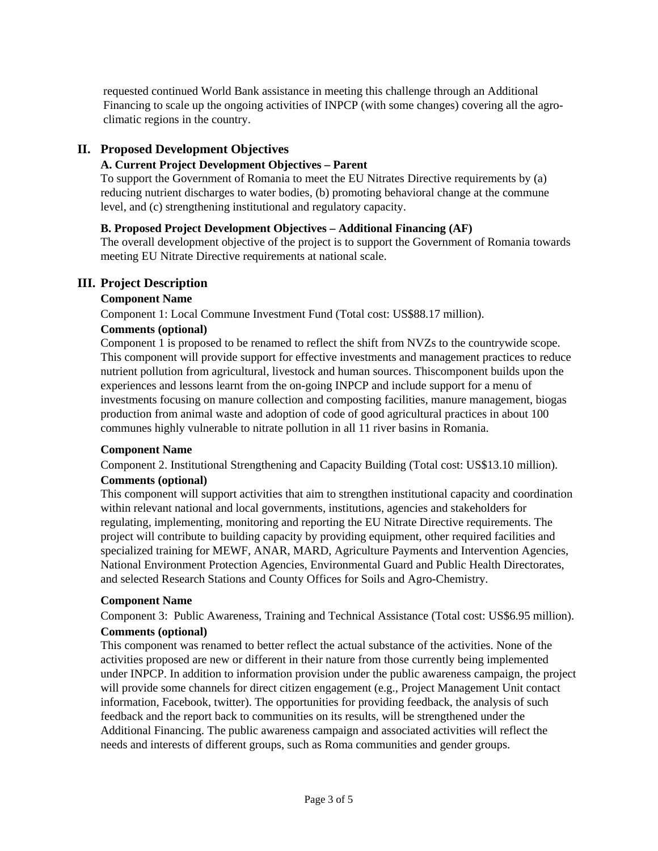requested continued World Bank assistance in meeting this challenge through an Additional Financing to scale up the ongoing activities of INPCP (with some changes) covering all the agroclimatic regions in the country.

# **II. Proposed Development Objectives**

# **A. Current Project Development Objectives – Parent**

To support the Government of Romania to meet the EU Nitrates Directive requirements by (a) reducing nutrient discharges to water bodies, (b) promoting behavioral change at the commune level, and (c) strengthening institutional and regulatory capacity.

## **B. Proposed Project Development Objectives – Additional Financing (AF)**

The overall development objective of the project is to support the Government of Romania towards meeting EU Nitrate Directive requirements at national scale.

# **III. Project Description**

## **Component Name**

Component 1: Local Commune Investment Fund (Total cost: US\$88.17 million).

## **Comments (optional)**

Component 1 is proposed to be renamed to reflect the shift from NVZs to the countrywide scope. This component will provide support for effective investments and management practices to reduce nutrient pollution from agricultural, livestock and human sources. Thiscomponent builds upon the experiences and lessons learnt from the on-going INPCP and include support for a menu of investments focusing on manure collection and composting facilities, manure management, biogas production from animal waste and adoption of code of good agricultural practices in about 100 communes highly vulnerable to nitrate pollution in all 11 river basins in Romania.

#### **Component Name**

Component 2. Institutional Strengthening and Capacity Building (Total cost: US\$13.10 million).

#### **Comments (optional)**

This component will support activities that aim to strengthen institutional capacity and coordination within relevant national and local governments, institutions, agencies and stakeholders for regulating, implementing, monitoring and reporting the EU Nitrate Directive requirements. The project will contribute to building capacity by providing equipment, other required facilities and specialized training for MEWF, ANAR, MARD, Agriculture Payments and Intervention Agencies, National Environment Protection Agencies, Environmental Guard and Public Health Directorates, and selected Research Stations and County Offices for Soils and Agro-Chemistry.

#### **Component Name**

Component 3: Public Awareness, Training and Technical Assistance (Total cost: US\$6.95 million).

# **Comments (optional)**

This component was renamed to better reflect the actual substance of the activities. None of the activities proposed are new or different in their nature from those currently being implemented under INPCP. In addition to information provision under the public awareness campaign, the project will provide some channels for direct citizen engagement (e.g., Project Management Unit contact information, Facebook, twitter). The opportunities for providing feedback, the analysis of such feedback and the report back to communities on its results, will be strengthened under the Additional Financing. The public awareness campaign and associated activities will reflect the needs and interests of different groups, such as Roma communities and gender groups.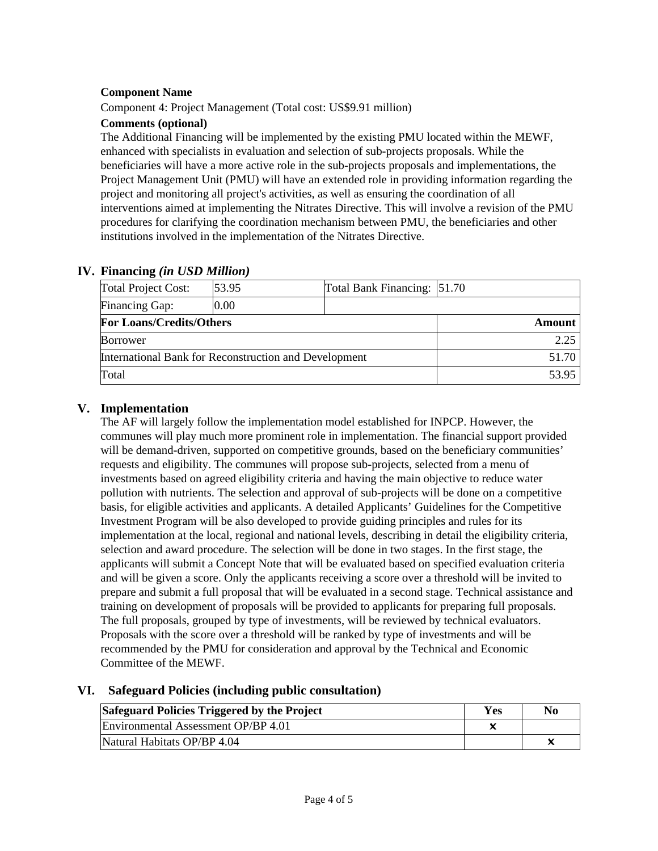# **Component Name**

Component 4: Project Management (Total cost: US\$9.91 million)

# **Comments (optional)**

The Additional Financing will be implemented by the existing PMU located within the MEWF, enhanced with specialists in evaluation and selection of sub-projects proposals. While the beneficiaries will have a more active role in the sub-projects proposals and implementations, the Project Management Unit (PMU) will have an extended role in providing information regarding the project and monitoring all project's activities, as well as ensuring the coordination of all interventions aimed at implementing the Nitrates Directive. This will involve a revision of the PMU procedures for clarifying the coordination mechanism between PMU, the beneficiaries and other institutions involved in the implementation of the Nitrates Directive.

| $\blacksquare$                                        |  |                             |
|-------------------------------------------------------|--|-----------------------------|
| 53.95                                                 |  |                             |
| 0.00                                                  |  |                             |
| <b>For Loans/Credits/Others</b>                       |  | Amount                      |
| <b>Borrower</b>                                       |  |                             |
| International Bank for Reconstruction and Development |  | 51.70                       |
| Total                                                 |  |                             |
|                                                       |  | Total Bank Financing: 51.70 |

# **IV. Financing** *(in USD Million)*

# **V. Implementation**

The AF will largely follow the implementation model established for INPCP. However, the communes will play much more prominent role in implementation. The financial support provided will be demand-driven, supported on competitive grounds, based on the beneficiary communities' requests and eligibility. The communes will propose sub-projects, selected from a menu of investments based on agreed eligibility criteria and having the main objective to reduce water pollution with nutrients. The selection and approval of sub-projects will be done on a competitive basis, for eligible activities and applicants. A detailed Applicants' Guidelines for the Competitive Investment Program will be also developed to provide guiding principles and rules for its implementation at the local, regional and national levels, describing in detail the eligibility criteria, selection and award procedure. The selection will be done in two stages. In the first stage, the applicants will submit a Concept Note that will be evaluated based on specified evaluation criteria and will be given a score. Only the applicants receiving a score over a threshold will be invited to prepare and submit a full proposal that will be evaluated in a second stage. Technical assistance and training on development of proposals will be provided to applicants for preparing full proposals. The full proposals, grouped by type of investments, will be reviewed by technical evaluators. Proposals with the score over a threshold will be ranked by type of investments and will be recommended by the PMU for consideration and approval by the Technical and Economic Committee of the MEWF.

# **VI. Safeguard Policies (including public consultation)**

| Safeguard Policies Triggered by the Project |  | No |
|---------------------------------------------|--|----|
| Environmental Assessment OP/BP 4.01         |  |    |
| Natural Habitats OP/BP 4.04                 |  |    |